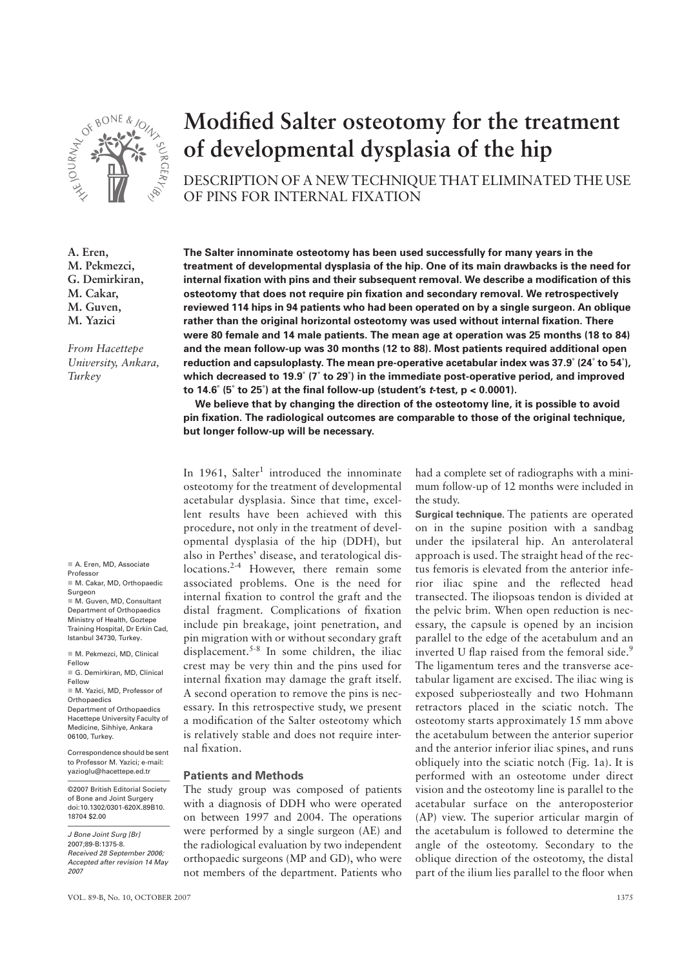

**Modified Salter osteotomy for the treatment of developmental dysplasia of the hip**

DESCRIPTION OF A NEW TECHNIQUE THAT ELIMINATED THE USE OF PINS FOR INTERNAL FIXATION

**A. Eren, M. Pekmezci, G. Demirkiran, M. Cakar, M. Guven, M. Yazici** *From Hacettepe University, Ankara,*  **The Salter innominate osteotomy has been used successfully for many years in the treatment of developmental dysplasia of the hip. One of its main drawbacks is the need for internal fixation with pins and their subsequent removal. We describe a modification of this osteotomy that does not require pin fixation and secondary removal. We retrospectively reviewed 114 hips in 94 patients who had been operated on by a single surgeon. An oblique rather than the original horizontal osteotomy was used without internal fixation. There were 80 female and 14 male patients. The mean age at operation was 25 months (18 to 84)** 

**and the mean follow-up was 30 months (12 to 88). Most patients required additional open reduction and capsuloplasty. The mean pre-operative acetabular index was 37.9˚ (24˚ to 54˚), which decreased to 19.9˚ (7˚ to 29˚) in the immediate post-operative period, and improved to 14.6˚ (5˚ to 25˚) at the final follow-up (student's** *t***-test, p < 0.0001).** 

**We believe that by changing the direction of the osteotomy line, it is possible to avoid pin fixation. The radiological outcomes are comparable to those of the original technique, but longer follow-up will be necessary.**

In 1961, Salter<sup>1</sup> introduced the innominate osteotomy for the treatment of developmental acetabular dysplasia. Since that time, excellent results have been achieved with this procedure, not only in the treatment of developmental dysplasia of the hip (DDH), but also in Perthes' disease, and teratological dislocations.<sup>2-4</sup> However, there remain some associated problems. One is the need for internal fixation to control the graft and the distal fragment. Complications of fixation include pin breakage, joint penetration, and pin migration with or without secondary graft displacement.<sup>5-8</sup> In some children, the iliac crest may be very thin and the pins used for internal fixation may damage the graft itself. A second operation to remove the pins is necessary. In this retrospective study, we present a modification of the Salter osteotomy which is relatively stable and does not require internal fixation.

## **Patients and Methods**

The study group was composed of patients with a diagnosis of DDH who were operated on between 1997 and 2004. The operations were performed by a single surgeon (AE) and the radiological evaluation by two independent orthopaedic surgeons (MP and GD), who were not members of the department. Patients who

had a complete set of radiographs with a minimum follow-up of 12 months were included in the study.

**Surgical technique.** The patients are operated on in the supine position with a sandbag under the ipsilateral hip. An anterolateral approach is used. The straight head of the rectus femoris is elevated from the anterior inferior iliac spine and the reflected head transected. The iliopsoas tendon is divided at the pelvic brim. When open reduction is necessary, the capsule is opened by an incision parallel to the edge of the acetabulum and an inverted U flap raised from the femoral side.<sup>9</sup> The ligamentum teres and the transverse acetabular ligament are excised. The iliac wing is exposed subperiosteally and two Hohmann retractors placed in the sciatic notch. The osteotomy starts approximately 15 mm above the acetabulum between the anterior superior and the anterior inferior iliac spines, and runs obliquely into the sciatic notch (Fig. 1a). It is performed with an osteotome under direct vision and the osteotomy line is parallel to the acetabular surface on the anteroposterior (AP) view. The superior articular margin of the acetabulum is followed to determine the angle of the osteotomy. Secondary to the oblique direction of the osteotomy, the distal part of the ilium lies parallel to the floor when

A. Eren, MD, Associate

*Turkey*

Professor M. Cakar, MD, Orthopaedic Surgeon

M. Guven, MD, Consultant Department of Orthopaedics Ministry of Health, Goztepe Training Hospital, Dr Erkin Cad, Istanbul 34730, Turkey.

■ M. Pekmezci, MD, Clinical Fellow

G. Demirkiran, MD, Clinical Fellow

 M. Yazici, MD, Professor of **Orthopaedics** Department of Orthopaedics Hacettepe University Faculty of

Medicine, Sihhiye, Ankara 06100, Turkey. Correspondence should be sent

to Professor M. Yazici; e-mail: yazioglu@hacettepe.ed.tr

©2007 British Editorial Society of Bone and Joint Surgery doi:10.1302/0301-620X.89B10. 18704 \$2.00

*J Bone Joint Surg [Br]*  2007;89-B:1375-8. *Received 28 September 2006; Accepted after revision 14 May 2007*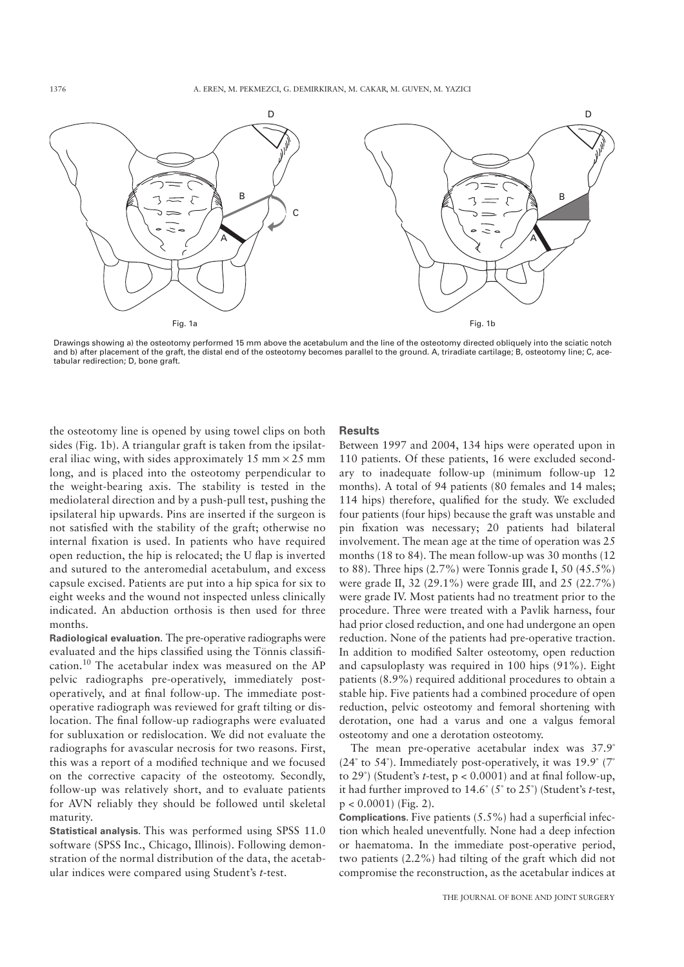

Drawings showing a) the osteotomy performed 15 mm above the acetabulum and the line of the osteotomy directed obliquely into the sciatic notch and b) after placement of the graft, the distal end of the osteotomy becomes parallel to the ground. A, triradiate cartilage; B, osteotomy line; C, acetabular redirection; D, bone graft.

the osteotomy line is opened by using towel clips on both sides (Fig. 1b). A triangular graft is taken from the ipsilateral iliac wing, with sides approximately 15 mm  $\times$  25 mm long, and is placed into the osteotomy perpendicular to the weight-bearing axis. The stability is tested in the mediolateral direction and by a push-pull test, pushing the ipsilateral hip upwards. Pins are inserted if the surgeon is not satisfied with the stability of the graft; otherwise no internal fixation is used. In patients who have required open reduction, the hip is relocated; the U flap is inverted and sutured to the anteromedial acetabulum, and excess capsule excised. Patients are put into a hip spica for six to eight weeks and the wound not inspected unless clinically indicated. An abduction orthosis is then used for three months.

**Radiological evaluation.** The pre-operative radiographs were evaluated and the hips classified using the Tönnis classification.<sup>10</sup> The acetabular index was measured on the AP pelvic radiographs pre-operatively, immediately postoperatively, and at final follow-up. The immediate postoperative radiograph was reviewed for graft tilting or dislocation. The final follow-up radiographs were evaluated for subluxation or redislocation. We did not evaluate the radiographs for avascular necrosis for two reasons. First, this was a report of a modified technique and we focused on the corrective capacity of the osteotomy. Secondly, follow-up was relatively short, and to evaluate patients for AVN reliably they should be followed until skeletal maturity.

**Statistical analysis.** This was performed using SPSS 11.0 software (SPSS Inc., Chicago, Illinois). Following demonstration of the normal distribution of the data, the acetabular indices were compared using Student's *t*-test.

## **Results**

Between 1997 and 2004, 134 hips were operated upon in 110 patients. Of these patients, 16 were excluded secondary to inadequate follow-up (minimum follow-up 12 months). A total of 94 patients (80 females and 14 males; 114 hips) therefore, qualified for the study. We excluded four patients (four hips) because the graft was unstable and pin fixation was necessary; 20 patients had bilateral involvement. The mean age at the time of operation was 25 months (18 to 84). The mean follow-up was 30 months (12 to 88). Three hips (2.7%) were Tonnis grade I, 50 (45.5%) were grade II, 32 (29.1%) were grade III, and 25 (22.7%) were grade IV. Most patients had no treatment prior to the procedure. Three were treated with a Pavlik harness, four had prior closed reduction, and one had undergone an open reduction. None of the patients had pre-operative traction. In addition to modified Salter osteotomy, open reduction and capsuloplasty was required in 100 hips (91%). Eight patients (8.9%) required additional procedures to obtain a stable hip. Five patients had a combined procedure of open reduction, pelvic osteotomy and femoral shortening with derotation, one had a varus and one a valgus femoral osteotomy and one a derotation osteotomy.

The mean pre-operative acetabular index was 37.9° (24 $\degree$  to 54 $\degree$ ). Immediately post-operatively, it was 19.9 $\degree$  (7 $\degree$ to  $29^{\circ}$ ) (Student's *t*-test,  $p < 0.0001$ ) and at final follow-up, it had further improved to 14.6˚ (5˚ to 25˚) (Student's *t*-test,  $p < 0.0001$  (Fig. 2).

**Complications.** Five patients (5.5%) had a superficial infection which healed uneventfully. None had a deep infection or haematoma. In the immediate post-operative period, two patients (2.2%) had tilting of the graft which did not compromise the reconstruction, as the acetabular indices at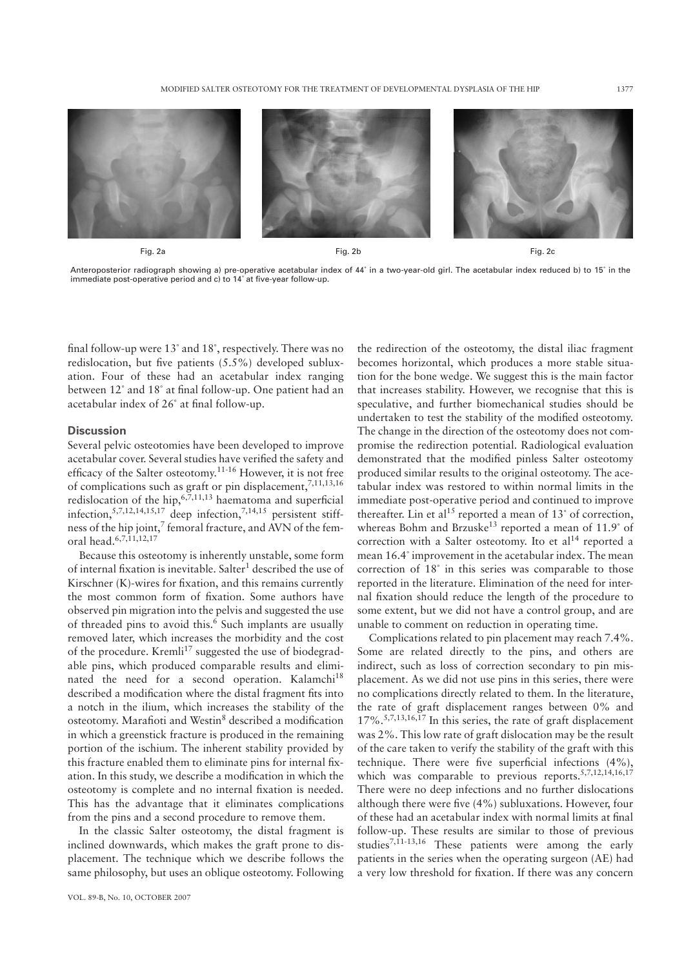

Anteroposterior radiograph showing a) pre-operative acetabular index of 44˚ in a two-year-old girl. The acetabular index reduced b) to 15˚ in the immediate post-operative period and c) to 14˚ at five-year follow-up.

final follow-up were 13˚ and 18˚, respectively. There was no redislocation, but five patients (5.5%) developed subluxation. Four of these had an acetabular index ranging between 12˚ and 18˚ at final follow-up. One patient had an acetabular index of 26˚ at final follow-up.

## **Discussion**

Several pelvic osteotomies have been developed to improve acetabular cover. Several studies have verified the safety and efficacy of the Salter osteotomy.<sup>11-16</sup> However, it is not free of complications such as graft or pin displacement,  $7,11,13,16$ redislocation of the hip,  $6,7,11,13$  haematoma and superficial infection, $5,7,12,14,15,17$  deep infection, $7,14,15$  persistent stiffness of the hip joint,<sup>7</sup> femoral fracture, and AVN of the femoral head.6,7,11,12,17

Because this osteotomy is inherently unstable, some form of internal fixation is inevitable. Salter<sup>1</sup> described the use of Kirschner (K)-wires for fixation, and this remains currently the most common form of fixation. Some authors have observed pin migration into the pelvis and suggested the use of threaded pins to avoid this.<sup>6</sup> Such implants are usually removed later, which increases the morbidity and the cost of the procedure. Kremli<sup>17</sup> suggested the use of biodegradable pins, which produced comparable results and eliminated the need for a second operation. Kalamchi<sup>18</sup> described a modification where the distal fragment fits into a notch in the ilium, which increases the stability of the osteotomy. Marafioti and Westin<sup>8</sup> described a modification in which a greenstick fracture is produced in the remaining portion of the ischium. The inherent stability provided by this fracture enabled them to eliminate pins for internal fixation. In this study, we describe a modification in which the osteotomy is complete and no internal fixation is needed. This has the advantage that it eliminates complications from the pins and a second procedure to remove them.

In the classic Salter osteotomy, the distal fragment is inclined downwards, which makes the graft prone to displacement. The technique which we describe follows the same philosophy, but uses an oblique osteotomy. Following

the redirection of the osteotomy, the distal iliac fragment becomes horizontal, which produces a more stable situation for the bone wedge. We suggest this is the main factor that increases stability. However, we recognise that this is speculative, and further biomechanical studies should be undertaken to test the stability of the modified osteotomy. The change in the direction of the osteotomy does not compromise the redirection potential. Radiological evaluation demonstrated that the modified pinless Salter osteotomy produced similar results to the original osteotomy. The acetabular index was restored to within normal limits in the immediate post-operative period and continued to improve thereafter. Lin et al<sup>15</sup> reported a mean of  $13^{\circ}$  of correction, whereas Bohm and Brzuske<sup>13</sup> reported a mean of  $11.9°$  of correction with a Salter osteotomy. Ito et  $al<sup>14</sup>$  reported a mean 16.4˚ improvement in the acetabular index. The mean correction of 18˚ in this series was comparable to those reported in the literature. Elimination of the need for internal fixation should reduce the length of the procedure to some extent, but we did not have a control group, and are unable to comment on reduction in operating time.

Complications related to pin placement may reach 7.4%. Some are related directly to the pins, and others are indirect, such as loss of correction secondary to pin misplacement. As we did not use pins in this series, there were no complications directly related to them. In the literature, the rate of graft displacement ranges between 0% and  $17\%$ .<sup>5,7,13,16,17</sup> In this series, the rate of graft displacement was 2%. This low rate of graft dislocation may be the result of the care taken to verify the stability of the graft with this technique. There were five superficial infections (4%), which was comparable to previous reports.<sup>5,7,12,14,16,17</sup> There were no deep infections and no further dislocations although there were five (4%) subluxations. However, four of these had an acetabular index with normal limits at final follow-up. These results are similar to those of previous studies<sup>7,11-13,16</sup> These patients were among the early patients in the series when the operating surgeon (AE) had a very low threshold for fixation. If there was any concern